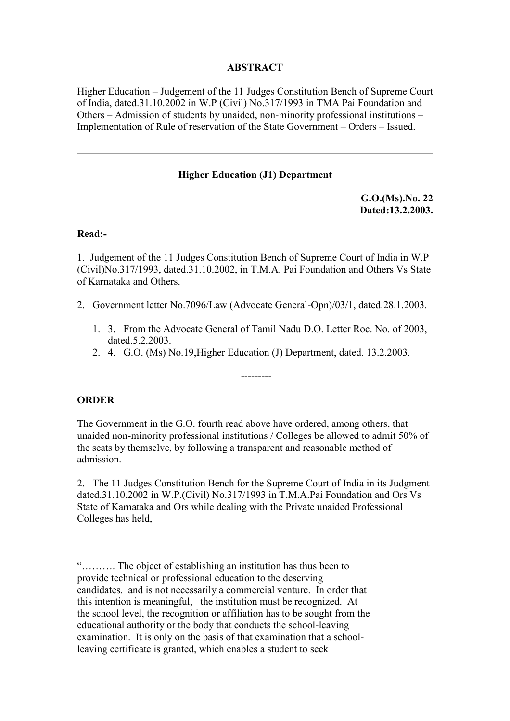# **ABSTRACT**

Higher Education – Judgement of the 11 Judges Constitution Bench of Supreme Court of India, dated.31.10.2002 in W.P (Civil) No.317/1993 in TMA Pai Foundation and Others – Admission of students by unaided, non-minority professional institutions – Implementation of Rule of reservation of the State Government – Orders – Issued.

## **Higher Education (J1) Department**

**G.O.(Ms).No. 22 Dated:13.2.2003.**

#### **Read:-**

1. Judgement of the 11 Judges Constitution Bench of Supreme Court of India in W.P (Civil)No.317/1993, dated.31.10.2002, in T.M.A. Pai Foundation and Others Vs State of Karnataka and Others.

- 2. Government letter No.7096/Law (Advocate General-Opn)/03/1, dated.28.1.2003.
	- 1. 3. From the Advocate General of Tamil Nadu D.O. Letter Roc. No. of 2003, dated.5.2.2003.
	- 2. 4. G.O. (Ms) No.19,Higher Education (J) Department, dated. 13.2.2003.

---------

## **ORDER**

The Government in the G.O. fourth read above have ordered, among others, that unaided non-minority professional institutions / Colleges be allowed to admit 50% of the seats by themselve, by following a transparent and reasonable method of admission.

2. The 11 Judges Constitution Bench for the Supreme Court of India in its Judgment dated.31.10.2002 in W.P.(Civil) No.317/1993 in T.M.A.Pai Foundation and Ors Vs State of Karnataka and Ors while dealing with the Private unaided Professional Colleges has held,

"………. The object of establishing an institution has thus been to provide technical or professional education to the deserving candidates. and is not necessarily a commercial venture. In order that this intention is meaningful, the institution must be recognized. At the school level, the recognition or affiliation has to be sought from the educational authority or the body that conducts the school-leaving examination. It is only on the basis of that examination that a schoolleaving certificate is granted, which enables a student to seek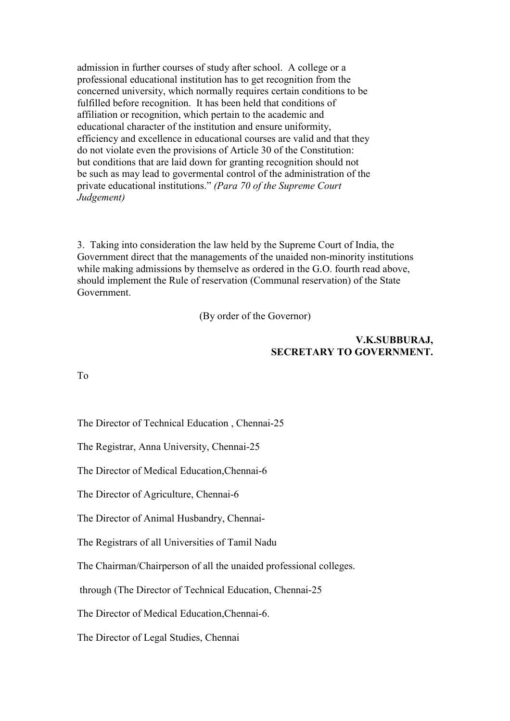admission in further courses of study after school. A college or a professional educational institution has to get recognition from the concerned university, which normally requires certain conditions to be fulfilled before recognition. It has been held that conditions of affiliation or recognition, which pertain to the academic and educational character of the institution and ensure uniformity, efficiency and excellence in educational courses are valid and that they do not violate even the provisions of Article 30 of the Constitution: but conditions that are laid down for granting recognition should not be such as may lead to govermental control of the administration of the private educational institutions." *(Para 70 of the Supreme Court Judgement)*

3. Taking into consideration the law held by the Supreme Court of India, the Government direct that the managements of the unaided non-minority institutions while making admissions by themselve as ordered in the G.O. fourth read above, should implement the Rule of reservation (Communal reservation) of the State Government.

(By order of the Governor)

### **V.K.SUBBURAJ, SECRETARY TO GOVERNMENT.**

To

The Director of Technical Education , Chennai-25

The Registrar, Anna University, Chennai-25

The Director of Medical Education,Chennai-6

The Director of Agriculture, Chennai-6

The Director of Animal Husbandry, Chennai-

The Registrars of all Universities of Tamil Nadu

The Chairman/Chairperson of all the unaided professional colleges.

through (The Director of Technical Education, Chennai-25

The Director of Medical Education,Chennai-6.

The Director of Legal Studies, Chennai